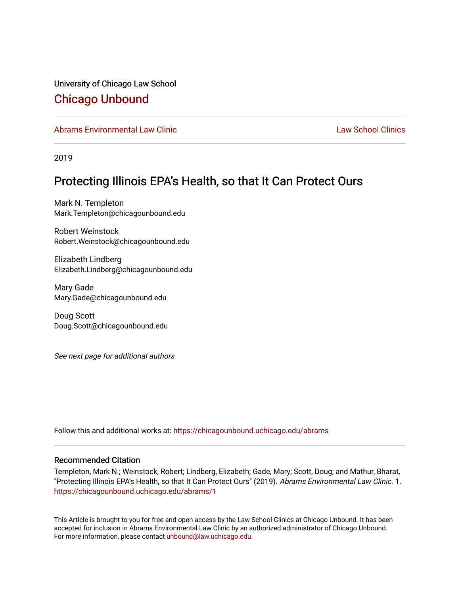University of Chicago Law School [Chicago Unbound](https://chicagounbound.uchicago.edu/)

[Abrams Environmental Law Clinic](https://chicagounbound.uchicago.edu/abrams) [Law School Clinics](https://chicagounbound.uchicago.edu/clinics) Law School Clinics

2019

#### Protecting Illinois EPA's Health, so that It Can Protect Ours

Mark N. Templeton Mark.Templeton@chicagounbound.edu

Robert Weinstock Robert.Weinstock@chicagounbound.edu

Elizabeth Lindberg Elizabeth.Lindberg@chicagounbound.edu

Mary Gade Mary.Gade@chicagounbound.edu

Doug Scott Doug.Scott@chicagounbound.edu

See next page for additional authors

Follow this and additional works at: [https://chicagounbound.uchicago.edu/abrams](https://chicagounbound.uchicago.edu/abrams?utm_source=chicagounbound.uchicago.edu%2Fabrams%2F1&utm_medium=PDF&utm_campaign=PDFCoverPages) 

#### Recommended Citation

Templeton, Mark N.; Weinstock, Robert; Lindberg, Elizabeth; Gade, Mary; Scott, Doug; and Mathur, Bharat, "Protecting Illinois EPA's Health, so that It Can Protect Ours" (2019). Abrams Environmental Law Clinic. 1. [https://chicagounbound.uchicago.edu/abrams/1](https://chicagounbound.uchicago.edu/abrams/1?utm_source=chicagounbound.uchicago.edu%2Fabrams%2F1&utm_medium=PDF&utm_campaign=PDFCoverPages)

This Article is brought to you for free and open access by the Law School Clinics at Chicago Unbound. It has been accepted for inclusion in Abrams Environmental Law Clinic by an authorized administrator of Chicago Unbound. For more information, please contact [unbound@law.uchicago.edu](mailto:unbound@law.uchicago.edu).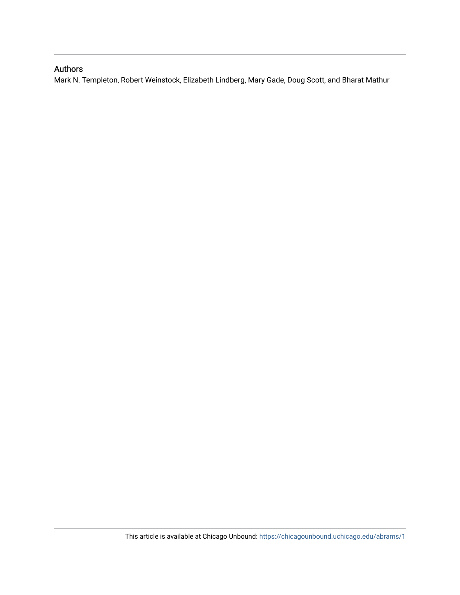#### Authors

Mark N. Templeton, Robert Weinstock, Elizabeth Lindberg, Mary Gade, Doug Scott, and Bharat Mathur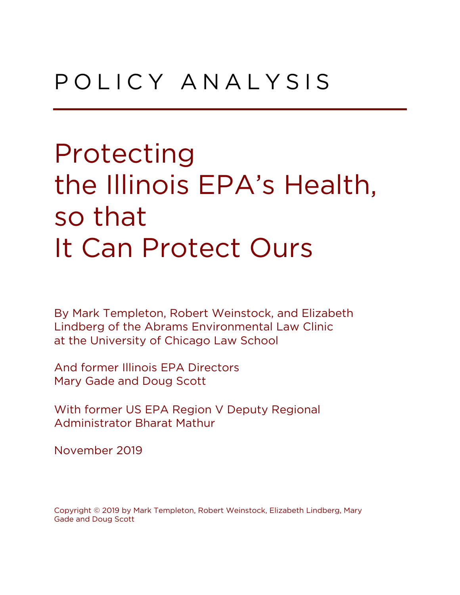### P O L I C Y A N A L Y S I S

Protecting the Illinois EPA's Health, so that It Can Protect Ours

By Mark Templeton, Robert Weinstock, and Elizabeth Lindberg of the Abrams Environmental Law Clinic at the University of Chicago Law School

And former Illinois EPA Directors Mary Gade and Doug Scott

With former US EPA Region V Deputy Regional Administrator Bharat Mathur

November 2019

Copyright © 2019 by Mark Templeton, Robert Weinstock, Elizabeth Lindberg, Mary Gade and Doug Scott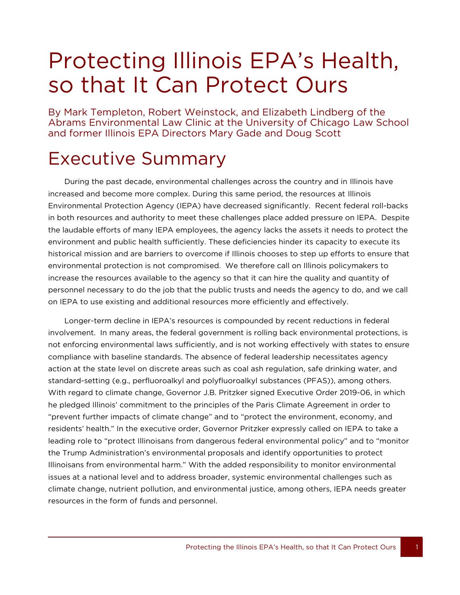### Protecting Illinois EPA's Health, so that It Can Protect Ours

By Mark Templeton, Robert Weinstock, and Elizabeth Lindberg of the Abrams Environmental Law Clinic at the University of Chicago Law School and former Illinois EPA Directors Mary Gade and Doug Scott

### Executive Summary

1

During the past decade, environmental challenges across the country and in Illinois have increased and become more complex. During this same period, the resources at Illinois Environmental Protection Agency (IEPA) have decreased significantly. Recent federal roll-backs in both resources and authority to meet these challenges place added pressure on IEPA. Despite the laudable efforts of many IEPA employees, the agency lacks the assets it needs to protect the environment and public health sufficiently. These deficiencies hinder its capacity to execute its historical mission and are barriers to overcome if Illinois chooses to step up efforts to ensure that environmental protection is not compromised. We therefore call on Illinois policymakers to increase the resources available to the agency so that it can hire the quality and quantity of personnel necessary to do the job that the public trusts and needs the agency to do, and we call on IEPA to use existing and additional resources more efficiently and effectively.

Longer-term decline in IEPA's resources is compounded by recent reductions in federal involvement. In many areas, the federal government is rolling back environmental protections, is not enforcing environmental laws sufficiently, and is not working effectively with states to ensure compliance with baseline standards. The absence of federal leadership necessitates agency action at the state level on discrete areas such as coal ash regulation, safe drinking water, and standard-setting (e.g., perfluoroalkyl and polyfluoroalkyl substances (PFAS)), among others. With regard to climate change, Governor J.B. Pritzker signed Executive Order 2019-06, in which he pledged Illinois' commitment to the principles of the Paris Climate Agreement in order to "prevent further impacts of climate change" and to "protect the environment, economy, and residents' health." In the executive order, Governor Pritzker expressly called on IEPA to take a leading role to "protect Illinoisans from dangerous federal environmental policy" and to "monitor the Trump Administration's environmental proposals and identify opportunities to protect Illinoisans from environmental harm." With the added responsibility to monitor environmental issues at a national level and to address broader, systemic environmental challenges such as climate change, nutrient pollution, and environmental justice, among others, IEPA needs greater resources in the form of funds and personnel.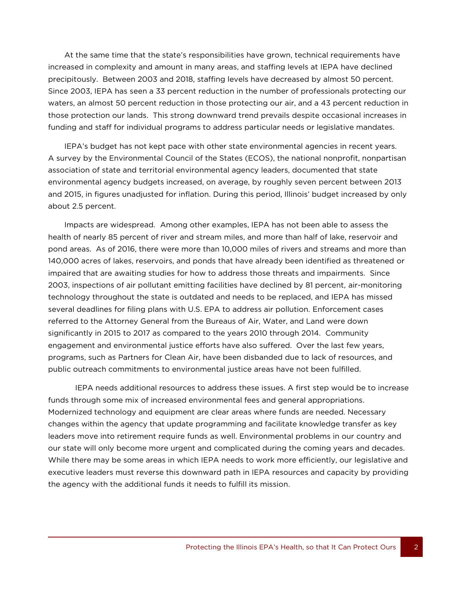At the same time that the state's responsibilities have grown, technical requirements have increased in complexity and amount in many areas, and staffing levels at IEPA have declined precipitously. Between 2003 and 2018, staffing levels have decreased by almost 50 percent. Since 2003, IEPA has seen a 33 percent reduction in the number of professionals protecting our waters, an almost 50 percent reduction in those protecting our air, and a 43 percent reduction in those protection our lands. This strong downward trend prevails despite occasional increases in funding and staff for individual programs to address particular needs or legislative mandates.

IEPA's budget has not kept pace with other state environmental agencies in recent years. A survey by the Environmental Council of the States (ECOS), the national nonprofit, nonpartisan association of state and territorial environmental agency leaders, documented that state environmental agency budgets increased, on average, by roughly seven percent between 2013 and 2015, in figures unadjusted for inflation. During this period, Illinois' budget increased by only about 2.5 percent.

Impacts are widespread. Among other examples, IEPA has not been able to assess the health of nearly 85 percent of river and stream miles, and more than half of lake, reservoir and pond areas. As of 2016, there were more than 10,000 miles of rivers and streams and more than 140,000 acres of lakes, reservoirs, and ponds that have already been identified as threatened or impaired that are awaiting studies for how to address those threats and impairments. Since 2003, inspections of air pollutant emitting facilities have declined by 81 percent, air-monitoring technology throughout the state is outdated and needs to be replaced, and IEPA has missed several deadlines for filing plans with U.S. EPA to address air pollution. Enforcement cases referred to the Attorney General from the Bureaus of Air, Water, and Land were down significantly in 2015 to 2017 as compared to the years 2010 through 2014. Community engagement and environmental justice efforts have also suffered. Over the last few years, programs, such as Partners for Clean Air, have been disbanded due to lack of resources, and public outreach commitments to environmental justice areas have not been fulfilled.

IEPA needs additional resources to address these issues. A first step would be to increase funds through some mix of increased environmental fees and general appropriations. Modernized technology and equipment are clear areas where funds are needed. Necessary changes within the agency that update programming and facilitate knowledge transfer as key leaders move into retirement require funds as well. Environmental problems in our country and our state will only become more urgent and complicated during the coming years and decades. While there may be some areas in which IEPA needs to work more efficiently, our legislative and executive leaders must reverse this downward path in IEPA resources and capacity by providing the agency with the additional funds it needs to fulfill its mission.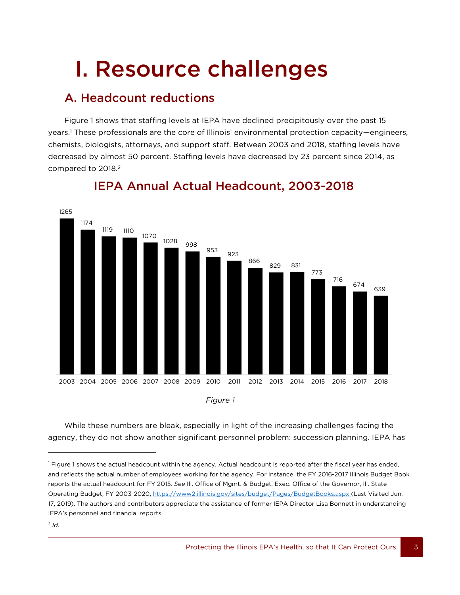# I. Resource challenges

### A. Headcount reductions

Figure 1 shows that staffing levels at IEPA have declined precipitously over the past 15 years. <sup>1</sup> These professionals are the core of Illinois' environmental protection capacity—engineers, chemists, biologists, attorneys, and support staff. Between 2003 and 2018, staffing levels have decreased by almost 50 percent. Staffing levels have decreased by 23 percent since 2014, as compared to 2018. 2



### IEPA Annual Actual Headcount, 2003-2018

*Figure 1*

While these numbers are bleak, especially in light of the increasing challenges facing the agency, they do not show another significant personnel problem: succession planning. IEPA has

<sup>&</sup>lt;sup>1</sup> Figure 1 shows the actual headcount within the agency. Actual headcount is reported after the fiscal year has ended, and reflects the actual number of employees working for the agency. For instance, the FY 2016-2017 Illinois Budget Book reports the actual headcount for FY 2015. *See* Ill. Office of Mgmt. & Budget, Exec. Office of the Governor, Ill. State Operating Budget, FY 2003-2020, <https://www2.illinois.gov/sites/budget/Pages/BudgetBooks.aspx> (Last Visited Jun. 17, 2019). The authors and contributors appreciate the assistance of former IEPA Director Lisa Bonnett in understanding IEPA's personnel and financial reports.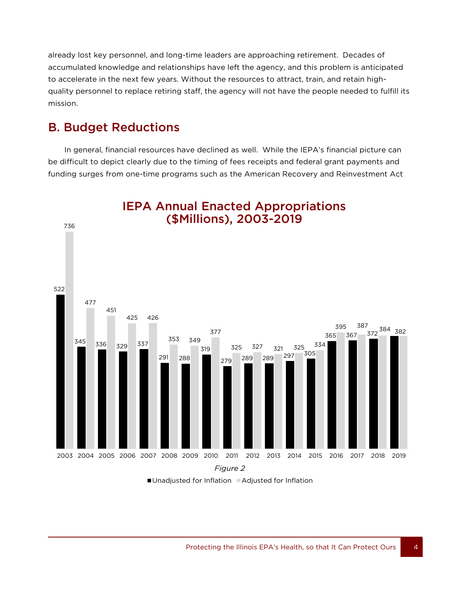already lost key personnel, and long-time leaders are approaching retirement. Decades of accumulated knowledge and relationships have left the agency, and this problem is anticipated to accelerate in the next few years. Without the resources to attract, train, and retain highquality personnel to replace retiring staff, the agency will not have the people needed to fulfill its mission.

### B. Budget Reductions

**44 August 2016** 

In general, financial resources have declined as well. While the IEPA's financial picture can be difficult to depict clearly due to the timing of fees receipts and federal grant payments and funding surges from one-time programs such as the American Recovery and Reinvestment Act



■Unadjusted for Inflation ■Adjusted for Inflation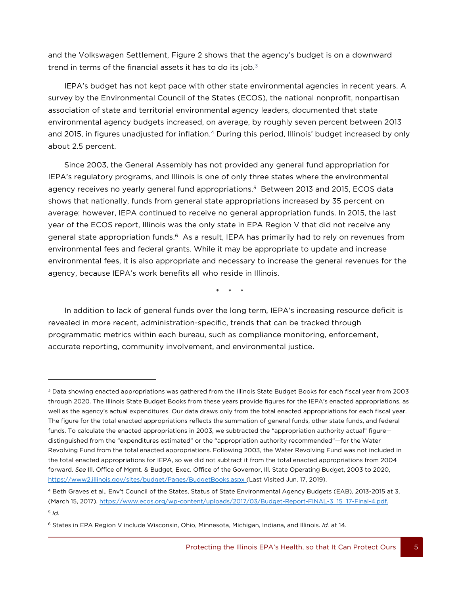and the Volkswagen Settlement, Figure 2 shows that the agency's budget is on a downward trend in terms of the financial assets it has to do its job.<sup>3</sup>

IEPA's budget has not kept pace with other state environmental agencies in recent years. A survey by the Environmental Council of the States (ECOS), the national nonprofit, nonpartisan association of state and territorial environmental agency leaders, documented that state environmental agency budgets increased, on average, by roughly seven percent between 2013 and 2015, in figures unadjusted for inflation.<sup>4</sup> During this period, Illinois' budget increased by only about 2.5 percent.

Since 2003, the General Assembly has not provided any general fund appropriation for IEPA's regulatory programs, and Illinois is one of only three states where the environmental agency receives no yearly general fund appropriations. 5 Between 2013 and 2015, ECOS data shows that nationally, funds from general state appropriations increased by 35 percent on average; however, IEPA continued to receive no general appropriation funds. In 2015, the last year of the ECOS report, Illinois was the only state in EPA Region V that did not receive any general state appropriation funds.<sup>6</sup> As a result, IEPA has primarily had to rely on revenues from environmental fees and federal grants. While it may be appropriate to update and increase environmental fees, it is also appropriate and necessary to increase the general revenues for the agency, because IEPA's work benefits all who reside in Illinois.

\* \* \*

In addition to lack of general funds over the long term, IEPA's increasing resource deficit is revealed in more recent, administration-specific, trends that can be tracked through programmatic metrics within each bureau, such as compliance monitoring, enforcement, accurate reporting, community involvement, and environmental justice.

<sup>&</sup>lt;sup>3</sup> Data showing enacted appropriations was gathered from the Illinois State Budget Books for each fiscal year from 2003 through 2020. The Illinois State Budget Books from these years provide figures for the IEPA's enacted appropriations, as well as the agency's actual expenditures. Our data draws only from the total enacted appropriations for each fiscal year. The figure for the total enacted appropriations reflects the summation of general funds, other state funds, and federal funds. To calculate the enacted appropriations in 2003, we subtracted the "appropriation authority actual" figure distinguished from the "expenditures estimated" or the "appropriation authority recommended"—for the Water Revolving Fund from the total enacted appropriations. Following 2003, the Water Revolving Fund was not included in the total enacted appropriations for IEPA, so we did not subtract it from the total enacted appropriations from 2004 forward. *See* Ill. Office of Mgmt. & Budget, Exec. Office of the Governor, Ill. State Operating Budget, 2003 to 2020, <https://www2.illinois.gov/sites/budget/Pages/BudgetBooks.aspx> (Last Visited Jun. 17, 2019).

<sup>4</sup> Beth Graves et al., Env't Council of the States, Status of State Environmental Agency Budgets (EAB), 2013-2015 at 3, (March 15, 2017)[, https://www.ecos.org/wp-content/uploads/2017/03/Budget-Report-FINAL-3\\_15\\_17-Final-4.pdf.](https://www.ecos.org/wp-content/uploads/2017/03/Budget-Report-FINAL-3_15_17-Final-4.pdf) 5 *Id.*

<sup>6</sup> States in EPA Region V include Wisconsin, Ohio, Minnesota, Michigan, Indiana, and Illinois. *Id.* at 14.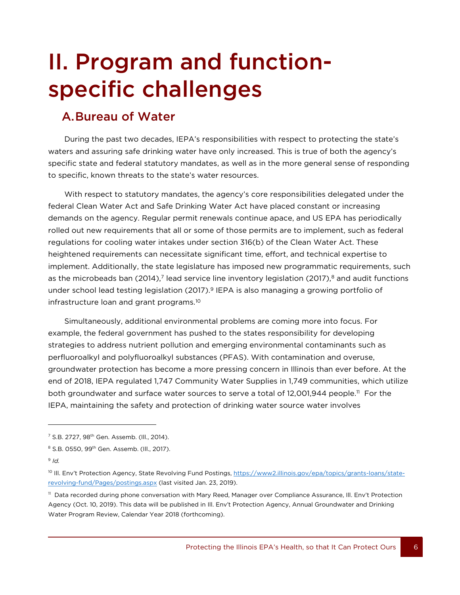## II. Program and functionspecific challenges

### A.Bureau of Water

During the past two decades, IEPA's responsibilities with respect to protecting the state's waters and assuring safe drinking water have only increased. This is true of both the agency's specific state and federal statutory mandates, as well as in the more general sense of responding to specific, known threats to the state's water resources.

With respect to statutory mandates, the agency's core responsibilities delegated under the federal Clean Water Act and Safe Drinking Water Act have placed constant or increasing demands on the agency. Regular permit renewals continue apace, and US EPA has periodically rolled out new requirements that all or some of those permits are to implement, such as federal regulations for cooling water intakes under section 316(b) of the Clean Water Act. These heightened requirements can necessitate significant time, effort, and technical expertise to implement. Additionally, the state legislature has imposed new programmatic requirements, such as the microbeads ban (2014),<sup>7</sup> lead service line inventory legislation (2017),<sup>8</sup> and audit functions under school lead testing legislation (2017).<sup>9</sup> IEPA is also managing a growing portfolio of infrastructure loan and grant programs.<sup>10</sup>

Simultaneously, additional environmental problems are coming more into focus. For example, the federal government has pushed to the states responsibility for developing strategies to address nutrient pollution and emerging environmental contaminants such as perfluoroalkyl and polyfluoroalkyl substances (PFAS). With contamination and overuse, groundwater protection has become a more pressing concern in Illinois than ever before. At the end of 2018, IEPA regulated 1,747 Community Water Supplies in 1,749 communities, which utilize both groundwater and surface water sources to serve a total of 12,001,944 people.<sup>11</sup> For the IEPA, maintaining the safety and protection of drinking water source water involves

<sup>&</sup>lt;sup>7</sup> S.B. 2727, 98<sup>th</sup> Gen. Assemb. (Ill., 2014).

<sup>&</sup>lt;sup>8</sup> S.B. 0550, 99<sup>th</sup> Gen. Assemb. (Ill., 2017).

<sup>9</sup> *Id.*

<sup>&</sup>lt;sup>10</sup> III. Env't Protection Agency, State Revolving Fund Postings, [https://www2.illinois.gov/epa/topics/grants-loans/state](https://www2.illinois.gov/epa/topics/grants-loans/state-revolving-fund/Pages/postings.aspx)[revolving-fund/Pages/postings.aspx](https://www2.illinois.gov/epa/topics/grants-loans/state-revolving-fund/Pages/postings.aspx) (last visited Jan. 23, 2019).

<sup>11</sup> Data recorded during phone conversation with Mary Reed, Manager over Compliance Assurance, Ill. Env't Protection Agency (Oct. 10, 2019). This data will be published in Ill. Env't Protection Agency, Annual Groundwater and Drinking Water Program Review, Calendar Year 2018 (forthcoming).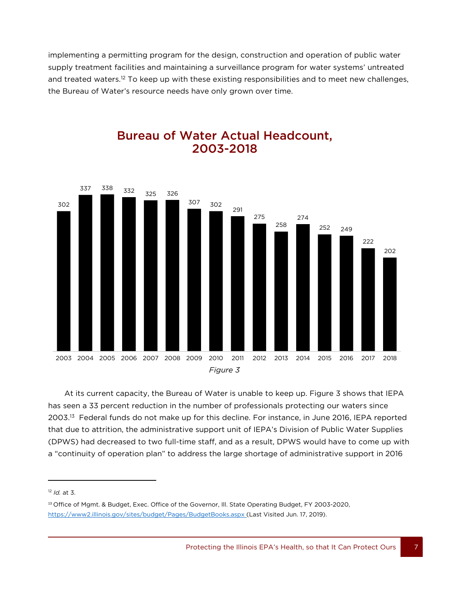implementing a permitting program for the design, construction and operation of public water supply treatment facilities and maintaining a surveillance program for water systems' untreated and treated waters.<sup>12</sup> To keep up with these existing responsibilities and to meet new challenges, the Bureau of Water's resource needs have only grown over time.



#### Bureau of Water Actual Headcount, 2003-2018

At its current capacity, the Bureau of Water is unable to keep up. Figure 3 shows that IEPA has seen a 33 percent reduction in the number of professionals protecting our waters since 2003. <sup>13</sup> Federal funds do not make up for this decline. For instance, in June 2016, IEPA reported that due to attrition, the administrative support unit of IEPA's Division of Public Water Supplies (DPWS) had decreased to two full-time staff, and as a result, DPWS would have to come up with a "continuity of operation plan" to address the large shortage of administrative support in 2016

<sup>12</sup> *Id.* at 3.

<sup>13</sup> Office of Mgmt. & Budget, Exec. Office of the Governor, Ill. State Operating Budget, FY 2003-2020, <https://www2.illinois.gov/sites/budget/Pages/BudgetBooks.aspx> (Last Visited Jun. 17, 2019).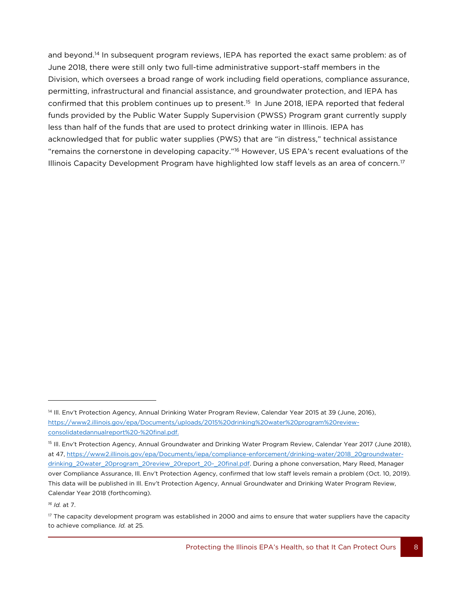and beyond.<sup>14</sup> In subsequent program reviews, IEPA has reported the exact same problem: as of June 2018, there were still only two full-time administrative support-staff members in the Division, which oversees a broad range of work including field operations, compliance assurance, permitting, infrastructural and financial assistance, and groundwater protection, and IEPA has confirmed that this problem continues up to present.<sup>15</sup> In June 2018, IEPA reported that federal funds provided by the Public Water Supply Supervision (PWSS) Program grant currently supply less than half of the funds that are used to protect drinking water in Illinois. IEPA has acknowledged that for public water supplies (PWS) that are "in distress," technical assistance "remains the cornerstone in developing capacity."<sup>16</sup> However, US EPA's recent evaluations of the Illinois Capacity Development Program have highlighted low staff levels as an area of concern.<sup>17</sup>

*<sup>16</sup> Id.* at 7.

<sup>&</sup>lt;sup>14</sup> III. Env't Protection Agency, Annual Drinking Water Program Review, Calendar Year 2015 at 39 (June, 2016), https://www2.illinois.gov/epa/Documents/uploads/2015%20drinking%20water%20program%20reviewconsolidatedannualreport%20-%20final.pdf.

<sup>15</sup> Ill. Env't Protection Agency, Annual Groundwater and Drinking Water Program Review, Calendar Year 2017 (June 2018), at 47, [https://www2.illinois.gov/epa/Documents/iepa/compliance-enforcement/drinking-water/2018\\_20groundwater](https://www2.illinois.gov/epa/Documents/iepa/compliance-enforcement/drinking-water/2018_20groundwater-drinking_20water_20program_20review_20report_20-_20final.pdf)[drinking\\_20water\\_20program\\_20review\\_20report\\_20-\\_20final.pdf.](https://www2.illinois.gov/epa/Documents/iepa/compliance-enforcement/drinking-water/2018_20groundwater-drinking_20water_20program_20review_20report_20-_20final.pdf) During a phone conversation, Mary Reed, Manager over Compliance Assurance, Ill. Env't Protection Agency, confirmed that low staff levels remain a problem (Oct. 10, 2019). This data will be published in Ill. Env't Protection Agency, Annual Groundwater and Drinking Water Program Review, Calendar Year 2018 (forthcoming).

<sup>8</sup>  $17$  The capacity development program was established in 2000 and aims to ensure that water suppliers have the capacity to achieve compliance*. Id.* at 25*.*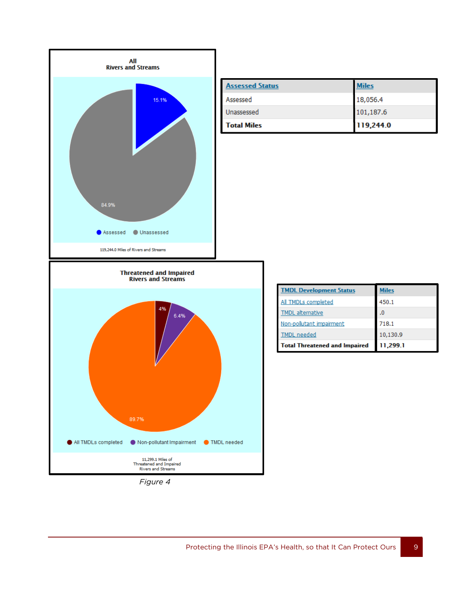

| <b>Assessed Status</b> | <b>Miles</b> |
|------------------------|--------------|
| Assessed               | 18,056.4     |
| Unassessed             | 101,187.6    |
| <b>Total Miles</b>     | 119,244.0    |

| <i>riaure</i> |  |
|---------------|--|
|---------------|--|

| <b>TMDL Development Status</b>       | <b>Miles</b> |
|--------------------------------------|--------------|
| All TMDLs completed                  | 450.1        |
| <b>TMDL</b> alternative              | $\cdot$      |
| Non-pollutant impairment             | 718.1        |
| <b>TMDL</b> needed                   | 10,130.9     |
| <b>Total Threatened and Impaired</b> | 11,299.1     |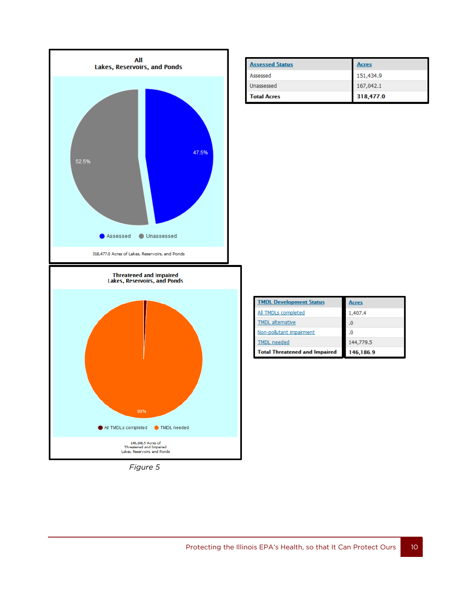

**Assessed Status Acres** 151,434.9 Assessed Unassessed 167,042.1 318,477.0 **Total Acres** 

| <b>TMDL Development Status</b>       | <b>Acres</b> |
|--------------------------------------|--------------|
| All TMDLs completed                  | 1,407.4      |
| <b>TMDL</b> alternative              | $\cdot$ 0    |
| Non-pollutant impairment             | .0           |
| <b>TMDL</b> needed                   | 144,779.5    |
| <b>Total Threatened and Impaired</b> | 146,186.9    |

*Figure 5*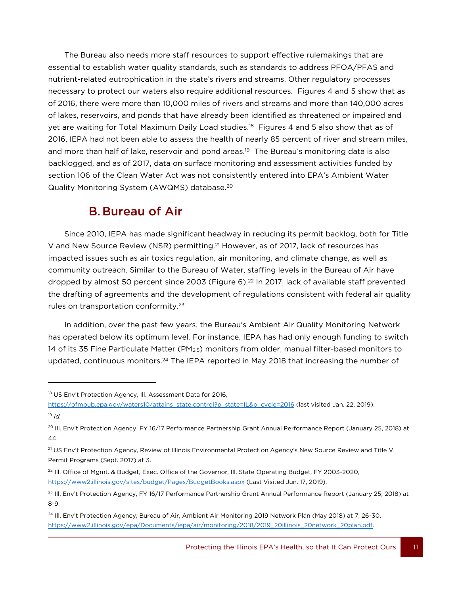The Bureau also needs more staff resources to support effective rulemakings that are essential to establish water quality standards, such as standards to address PFOA/PFAS and nutrient-related eutrophication in the state's rivers and streams. Other regulatory processes necessary to protect our waters also require additional resources. Figures 4 and 5 show that as of 2016, there were more than 10,000 miles of rivers and streams and more than 140,000 acres of lakes, reservoirs, and ponds that have already been identified as threatened or impaired and yet are waiting for Total Maximum Daily Load studies.<sup>18</sup> Figures 4 and 5 also show that as of 2016, IEPA had not been able to assess the health of nearly 85 percent of river and stream miles, and more than half of lake, reservoir and pond areas. <sup>19</sup> The Bureau's monitoring data is also backlogged, and as of 2017, data on surface monitoring and assessment activities funded by section 106 of the Clean Water Act was not consistently entered into EPA's Ambient Water Quality Monitoring System (AWQMS) database.<sup>20</sup>

### B.Bureau of Air

Since 2010, IEPA has made significant headway in reducing its permit backlog, both for Title V and New Source Review (NSR) permitting.<sup>21</sup> However, as of 2017, lack of resources has impacted issues such as air toxics regulation, air monitoring, and climate change, as well as community outreach. Similar to the Bureau of Water, staffing levels in the Bureau of Air have dropped by almost 50 percent since 2003 (Figure 6).<sup>22</sup> In 2017, lack of available staff prevented the drafting of agreements and the development of regulations consistent with federal air quality rules on transportation conformity.<sup>23</sup>

In addition, over the past few years, the Bureau's Ambient Air Quality Monitoring Network has operated below its optimum level. For instance, IEPA has had only enough funding to switch 14 of its 35 Fine Particulate Matter (PM2.5) monitors from older, manual filter-based monitors to updated, continuous monitors.<sup>24</sup> The IEPA reported in May 2018 that increasing the number of

11

<sup>&</sup>lt;sup>18</sup> US Env't Protection Agency, Ill. Assessment Data for 2016,

[https://ofmpub.epa.gov/waters10/attains\\_state.control?p\\_state=IL&p\\_cycle=2016](https://ofmpub.epa.gov/waters10/attains_state.control?p_state=IL&p_cycle=2016) (last visited Jan. 22, 2019). <sup>19</sup> *Id.*

<sup>&</sup>lt;sup>20</sup> Ill. Env't Protection Agency, FY 16/17 Performance Partnership Grant Annual Performance Report (January 25, 2018) at 44.

<sup>&</sup>lt;sup>21</sup> US Env't Protection Agency, Review of Illinois Environmental Protection Agency's New Source Review and Title V Permit Programs (Sept. 2017) at 3.

<sup>&</sup>lt;sup>22</sup> Ill. Office of Mgmt. & Budget, Exec. Office of the Governor, Ill. State Operating Budget, FY 2003-2020, <https://www2.illinois.gov/sites/budget/Pages/BudgetBooks.aspx> (Last Visited Jun. 17, 2019).

<sup>&</sup>lt;sup>23</sup> Ill. Env't Protection Agency, FY 16/17 Performance Partnership Grant Annual Performance Report (January 25, 2018) at 8-9.

<sup>&</sup>lt;sup>24</sup> Ill. Env't Protection Agency, Bureau of Air, Ambient Air Monitoring 2019 Network Plan (May 2018) at 7, 26-30, https://www2.illinois.gov/epa/Documents/iepa/air/monitoring/2018/2019\_20illinois\_20network\_20plan.pdf.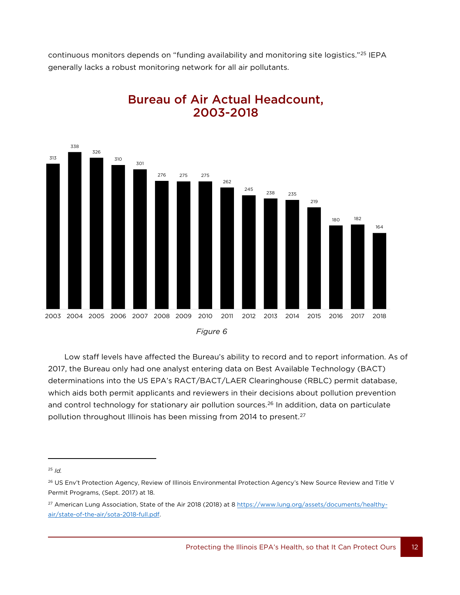continuous monitors depends on "funding availability and monitoring site logistics."<sup>25</sup> IEPA generally lacks a robust monitoring network for all air pollutants.



### Bureau of Air Actual Headcount, 2003-2018

Low staff levels have affected the Bureau's ability to record and to report information. As of 2017, the Bureau only had one analyst entering data on Best Available Technology (BACT) determinations into the US EPA's RACT/BACT/LAER Clearinghouse (RBLC) permit database, which aids both permit applicants and reviewers in their decisions about pollution prevention and control technology for stationary air pollution sources.<sup>26</sup> In addition, data on particulate pollution throughout Illinois has been missing from 2014 to present.<sup>27</sup>

 $\overline{a}$ 

<sup>25</sup> *Id.*

<sup>&</sup>lt;sup>26</sup> US Env't Protection Agency, Review of Illinois Environmental Protection Agency's New Source Review and Title V Permit Programs, (Sept. 2017) at 18.

<sup>&</sup>lt;sup>27</sup> American Lung Association, State of the Air 2018 (2018) at [8 https://www.lung.org/assets/documents/healthy](https://www.lung.org/assets/documents/healthy-air/state-of-the-air/sota-2018-full.pdf)[air/state-of-the-air/sota-2018-full.pdf.](https://www.lung.org/assets/documents/healthy-air/state-of-the-air/sota-2018-full.pdf)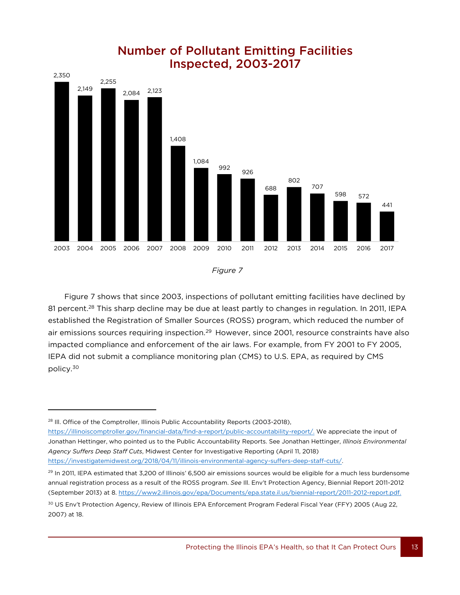



Figure 7 shows that since 2003, inspections of pollutant emitting facilities have declined by 81 percent.<sup>28</sup> This sharp decline may be due at least partly to changes in regulation. In 2011, IEPA established the Registration of Smaller Sources (ROSS) program, which reduced the number of air emissions sources requiring inspection.<sup>29</sup> However, since 2001, resource constraints have also impacted compliance and enforcement of the air laws. For example, from FY 2001 to FY 2005, IEPA did not submit a compliance monitoring plan (CMS) to U.S. EPA, as required by CMS policy.<sup>30</sup>

13

l

[https://illinoiscomptroller.gov/financial-data/find-a-report/public-accountability-report/.](https://illinoiscomptroller.gov/financial-data/find-a-report/public-accountability-report/) We appreciate the input of Jonathan Hettinger, who pointed us to the Public Accountability Reports. See Jonathan Hettinger, *Illinois Environmental Agency Suffers Deep Staff Cuts*, Midwest Center for Investigative Reporting (April 11, 2018) [https://investigatemidwest.org/2018/04/11/illinois-environmental-agency-suffers-deep-staff-cuts/.](https://investigatemidwest.org/2018/04/11/illinois-environmental-agency-suffers-deep-staff-cuts/)

*Figure 7*

<sup>&</sup>lt;sup>28</sup> Ill. Office of the Comptroller, Illinois Public Accountability Reports (2003-2018),

<sup>&</sup>lt;sup>29</sup> In 2011, IEPA estimated that 3,200 of Illinois' 6,500 air emissions sources would be eligible for a much less burdensome annual registration process as a result of the ROSS program. *See* Ill. Env't Protection Agency, Biennial Report 2011-2012 (September 2013) at 8. [https://www2.illinois.gov/epa/Documents/epa.state.il.us/biennial-report/2011-2012-report.pdf.](https://www2.illinois.gov/epa/Documents/epa.state.il.us/biennial-report/2011-2012-report.pdf)

<sup>&</sup>lt;sup>30</sup> US Env't Protection Agency, Review of Illinois EPA Enforcement Program Federal Fiscal Year (FFY) 2005 (Aug 22, 2007) at 18.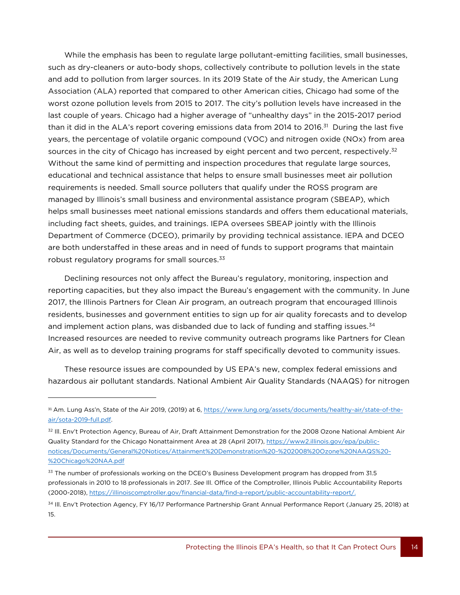While the emphasis has been to regulate large pollutant-emitting facilities, small businesses, such as dry-cleaners or auto-body shops, collectively contribute to pollution levels in the state and add to pollution from larger sources. In its 2019 State of the Air study, the American Lung Association (ALA) reported that compared to other American cities, Chicago had some of the worst ozone pollution levels from 2015 to 2017. The city's pollution levels have increased in the last couple of years. Chicago had a higher average of "unhealthy days" in the 2015-2017 period than it did in the ALA's report covering emissions data from 2014 to 2016.<sup>31</sup> During the last five years, the percentage of volatile organic compound (VOC) and nitrogen oxide (NOx) from area sources in the city of Chicago has increased by eight percent and two percent, respectively.<sup>32</sup> Without the same kind of permitting and inspection procedures that regulate large sources, educational and technical assistance that helps to ensure small businesses meet air pollution requirements is needed. Small source polluters that qualify under the ROSS program are managed by Illinois's small business and environmental assistance program (SBEAP), which helps small businesses meet national emissions standards and offers them educational materials, including fact sheets, guides, and trainings. IEPA oversees SBEAP jointly with the Illinois Department of Commerce (DCEO), primarily by providing technical assistance. IEPA and DCEO are both understaffed in these areas and in need of funds to support programs that maintain robust regulatory programs for small sources.<sup>33</sup>

Declining resources not only affect the Bureau's regulatory, monitoring, inspection and reporting capacities, but they also impact the Bureau's engagement with the community. In June 2017, the Illinois Partners for Clean Air program, an outreach program that encouraged Illinois residents, businesses and government entities to sign up for air quality forecasts and to develop and implement action plans, was disbanded due to lack of funding and staffing issues.<sup>34</sup> Increased resources are needed to revive community outreach programs like Partners for Clean Air, as well as to develop training programs for staff specifically devoted to community issues.

These resource issues are compounded by US EPA's new, complex federal emissions and hazardous air pollutant standards. National Ambient Air Quality Standards (NAAQS) for nitrogen

14

<sup>31</sup> Am. Lung Ass'n, State of the Air 2019, (2019) at 6, [https://www.lung.org/assets/documents/healthy-air/state-of-the](https://www.lung.org/assets/documents/healthy-air/state-of-the-air/sota-2019-full.pdf)[air/sota-2019-full.pdf.](https://www.lung.org/assets/documents/healthy-air/state-of-the-air/sota-2019-full.pdf) 

<sup>&</sup>lt;sup>32</sup> Ill. Env't Protection Agency, Bureau of Air, Draft Attainment Demonstration for the 2008 Ozone National Ambient Air Quality Standard for the Chicago Nonattainment Area at 28 (April 2017), https://www2.illinois.gov/epa/publicnotices/Documents/General%20Notices/Attainment%20Demonstration%20-%202008%20Ozone%20NAAQS%20- %20Chicago%20NAA.pdf

<sup>&</sup>lt;sup>33</sup> The number of professionals working on the DCEO's Business Development program has dropped from 31.5 professionals in 2010 to 18 professionals in 2017. *See* Ill. Office of the Comptroller, Illinois Public Accountability Reports (2000-2018), [https://illinoiscomptroller.gov/financial-data/find-a-report/public-accountability-report/.](https://illinoiscomptroller.gov/financial-data/find-a-report/public-accountability-report/)

<sup>34</sup> Ill. Env't Protection Agency, FY 16/17 Performance Partnership Grant Annual Performance Report (January 25, 2018) at 15.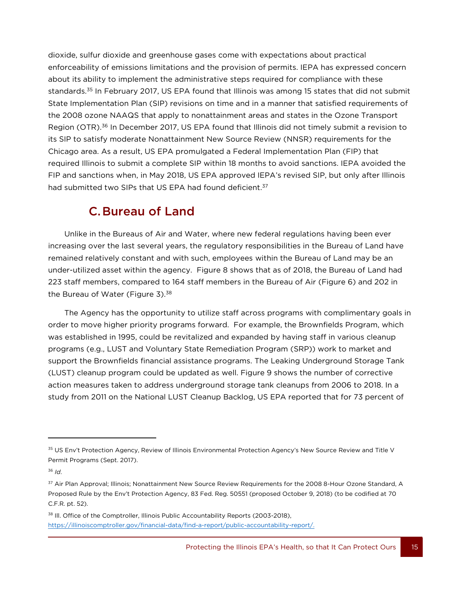dioxide, sulfur dioxide and greenhouse gases come with expectations about practical enforceability of emissions limitations and the provision of permits. IEPA has expressed concern about its ability to implement the administrative steps required for compliance with these standards.<sup>35</sup> In February 2017, US EPA found that Illinois was among 15 states that did not submit State Implementation Plan (SIP) revisions on time and in a manner that satisfied requirements of the 2008 ozone NAAQS that apply to nonattainment areas and states in the Ozone Transport Region (OTR).<sup>36</sup> In December 2017, US EPA found that Illinois did not timely submit a revision to its SIP to satisfy moderate Nonattainment New Source Review (NNSR) requirements for the Chicago area. As a result, US EPA promulgated a Federal Implementation Plan (FIP) that required Illinois to submit a complete SIP within 18 months to avoid sanctions. IEPA avoided the FIP and sanctions when, in May 2018, US EPA approved IEPA's revised SIP, but only after Illinois had submitted two SIPs that US EPA had found deficient.<sup>37</sup>

### C.Bureau of Land

Unlike in the Bureaus of Air and Water, where new federal regulations having been ever increasing over the last several years, the regulatory responsibilities in the Bureau of Land have remained relatively constant and with such, employees within the Bureau of Land may be an under-utilized asset within the agency. Figure 8 shows that as of 2018, the Bureau of Land had 223 staff members, compared to 164 staff members in the Bureau of Air (Figure 6) and 202 in the Bureau of Water (Figure 3).<sup>38</sup>

The Agency has the opportunity to utilize staff across programs with complimentary goals in order to move higher priority programs forward. For example, the Brownfields Program, which was established in 1995, could be revitalized and expanded by having staff in various cleanup programs (e.g., LUST and Voluntary State Remediation Program (SRP)) work to market and support the Brownfields financial assistance programs. The Leaking Underground Storage Tank (LUST) cleanup program could be updated as well. Figure 9 shows the number of corrective action measures taken to address underground storage tank cleanups from 2006 to 2018. In a study from 2011 on the National LUST Cleanup Backlog, US EPA reported that for 73 percent of

 $\overline{a}$ 

<sup>35</sup> US Env't Protection Agency, Review of Illinois Environmental Protection Agency's New Source Review and Title V Permit Programs (Sept. 2017).

<sup>36</sup> *Id*.

<sup>37</sup> Air Plan Approval; Illinois; Nonattainment New Source Review Requirements for the 2008 8-Hour Ozone Standard, A Proposed Rule by the Env't Protection Agency, 83 Fed. Reg. 50551 (proposed October 9, 2018) (to be codified at 70 C.F.R. pt. 52).

<sup>&</sup>lt;sup>38</sup> III. Office of the Comptroller, Illinois Public Accountability Reports (2003-2018), [https://illinoiscomptroller.gov/financial-data/find-a-report/public-accountability-report/.](https://illinoiscomptroller.gov/financial-data/find-a-report/public-accountability-report/)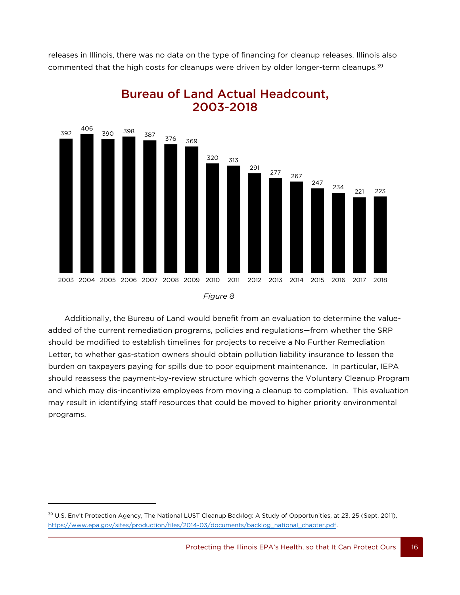releases in Illinois, there was no data on the type of financing for cleanup releases. Illinois also commented that the high costs for cleanups were driven by older longer-term cleanups.<sup>39</sup>



Bureau of Land Actual Headcount, 2003-2018

Additionally, the Bureau of Land would benefit from an evaluation to determine the valueadded of the current remediation programs, policies and regulations—from whether the SRP should be modified to establish timelines for projects to receive a No Further Remediation Letter, to whether gas-station owners should obtain pollution liability insurance to lessen the burden on taxpayers paying for spills due to poor equipment maintenance. In particular, IEPA should reassess the payment-by-review structure which governs the Voluntary Cleanup Program and which may dis-incentivize employees from moving a cleanup to completion. This evaluation may result in identifying staff resources that could be moved to higher priority environmental programs.

16

<sup>&</sup>lt;sup>39</sup> U.S. Env't Protection Agency, The National LUST Cleanup Backlog: A Study of Opportunities, at 23, 25 (Sept. 2011), [https://www.epa.gov/sites/production/files/2014-03/documents/backlog\\_national\\_chapter.pdf.](https://www.epa.gov/sites/production/files/2014-03/documents/backlog_national_chapter.pdf)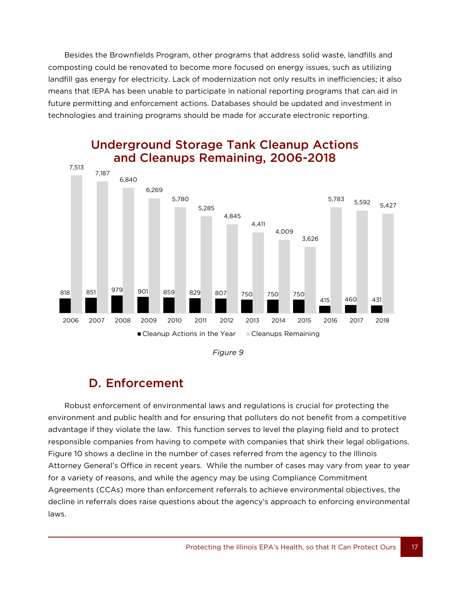Besides the Brownfields Program, other programs that address solid waste, landfills and composting could be renovated to become more focused on energy issues, such as utilizing landfill gas energy for electricity. Lack of modernization not only results in inefficiencies; it also means that IEPA has been unable to participate in national reporting programs that can aid in future permitting and enforcement actions. Databases should be updated and investment in technologies and training programs should be made for accurate electronic reporting.



### Underground Storage Tank Cleanup Actions and Cleanups Remaining, 2006-2018

*Figure 9*

### D. Enforcement

17

Robust enforcement of environmental laws and regulations is crucial for protecting the environment and public health and for ensuring that polluters do not benefit from a competitive advantage if they violate the law. This function serves to level the playing field and to protect responsible companies from having to compete with companies that shirk their legal obligations. Figure 10 shows a decline in the number of cases referred from the agency to the Illinois Attorney General's Office in recent years. While the number of cases may vary from year to year for a variety of reasons, and while the agency may be using Compliance Commitment Agreements (CCAs) more than enforcement referrals to achieve environmental objectives, the decline in referrals does raise questions about the agency's approach to enforcing environmental laws.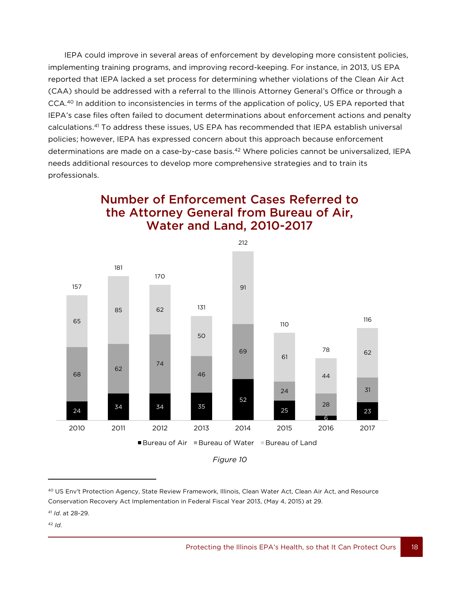IEPA could improve in several areas of enforcement by developing more consistent policies, implementing training programs, and improving record-keeping. For instance, in 2013, US EPA reported that IEPA lacked a set process for determining whether violations of the Clean Air Act (CAA) should be addressed with a referral to the Illinois Attorney General's Office or through a CCA.<sup>40</sup> In addition to inconsistencies in terms of the application of policy, US EPA reported that IEPA's case files often failed to document determinations about enforcement actions and penalty calculations. <sup>41</sup> To address these issues, US EPA has recommended that IEPA establish universal policies; however, IEPA has expressed concern about this approach because enforcement determinations are made on a case-by-case basis. <sup>42</sup> Where policies cannot be universalized, IEPA needs additional resources to develop more comprehensive strategies and to train its professionals.







 US Env't Protection Agency, State Review Framework, Illinois, Clean Water Act, Clean Air Act, and Resource Conservation Recovery Act Implementation in Federal Fiscal Year 2013, (May 4, 2015) at 29.

 *Id*.

*Id*. at 28-29.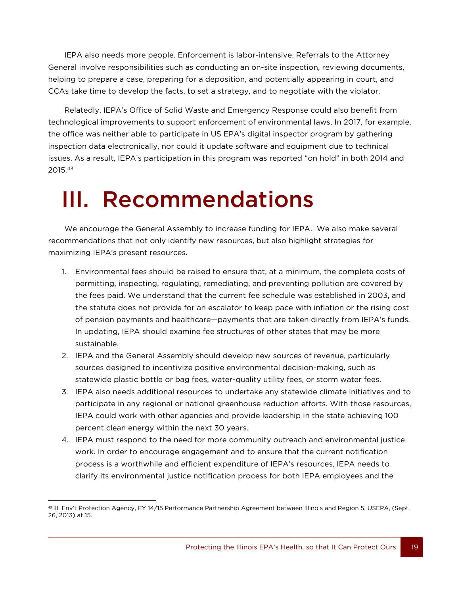IEPA also needs more people. Enforcement is labor-intensive. Referrals to the Attorney General involve responsibilities such as conducting an on-site inspection, reviewing documents, helping to prepare a case, preparing for a deposition, and potentially appearing in court, and CCAs take time to develop the facts, to set a strategy, and to negotiate with the violator.

Relatedly, IEPA's Office of Solid Waste and Emergency Response could also benefit from technological improvements to support enforcement of environmental laws. In 2017, for example, the office was neither able to participate in US EPA's digital inspector program by gathering inspection data electronically, nor could it update software and equipment due to technical issues. As a result, IEPA's participation in this program was reported "on hold" in both 2014 and 2015.<sup>43</sup>

## III. Recommendations

We encourage the General Assembly to increase funding for IEPA. We also make several recommendations that not only identify new resources, but also highlight strategies for maximizing IEPA's present resources.

- 1. Environmental fees should be raised to ensure that, at a minimum, the complete costs of permitting, inspecting, regulating, remediating, and preventing pollution are covered by the fees paid. We understand that the current fee schedule was established in 2003, and the statute does not provide for an escalator to keep pace with inflation or the rising cost of pension payments and healthcare—payments that are taken directly from IEPA's funds. In updating, IEPA should examine fee structures of other states that may be more sustainable.
- 2. IEPA and the General Assembly should develop new sources of revenue, particularly sources designed to incentivize positive environmental decision-making, such as statewide plastic bottle or bag fees, water-quality utility fees, or storm water fees.
- 3. IEPA also needs additional resources to undertake any statewide climate initiatives and to participate in any regional or national greenhouse reduction efforts. With those resources, IEPA could work with other agencies and provide leadership in the state achieving 100 percent clean energy within the next 30 years.
- 4. IEPA must respond to the need for more community outreach and environmental justice work. In order to encourage engagement and to ensure that the current notification process is a worthwhile and efficient expenditure of IEPA's resources, IEPA needs to clarify its environmental justice notification process for both IEPA employees and the

l 43 Ill. Env't Protection Agency, FY 14/15 Performance Partnership Agreement between Illinois and Region 5, USEPA, (Sept. 26, 2013) at 15.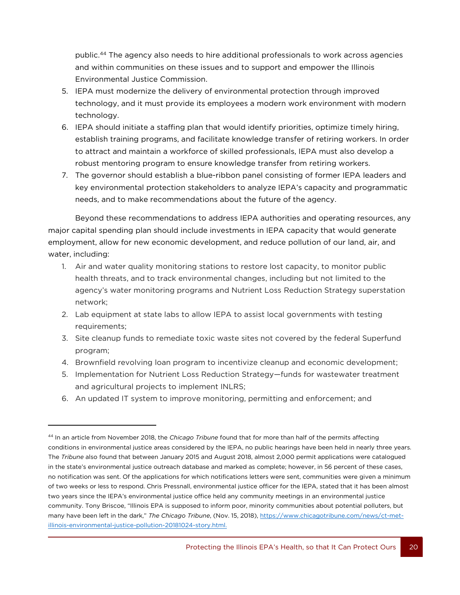public.<sup>44</sup> The agency also needs to hire additional professionals to work across agencies and within communities on these issues and to support and empower the Illinois Environmental Justice Commission.

- 5. IEPA must modernize the delivery of environmental protection through improved technology, and it must provide its employees a modern work environment with modern technology.
- 6. IEPA should initiate a staffing plan that would identify priorities, optimize timely hiring, establish training programs, and facilitate knowledge transfer of retiring workers. In order to attract and maintain a workforce of skilled professionals, IEPA must also develop a robust mentoring program to ensure knowledge transfer from retiring workers.
- 7. The governor should establish a blue-ribbon panel consisting of former IEPA leaders and key environmental protection stakeholders to analyze IEPA's capacity and programmatic needs, and to make recommendations about the future of the agency.

Beyond these recommendations to address IEPA authorities and operating resources, any major capital spending plan should include investments in IEPA capacity that would generate employment, allow for new economic development, and reduce pollution of our land, air, and water, including:

- 1. Air and water quality monitoring stations to restore lost capacity, to monitor public health threats, and to track environmental changes, including but not limited to the agency's water monitoring programs and Nutrient Loss Reduction Strategy superstation network;
- 2. Lab equipment at state labs to allow IEPA to assist local governments with testing requirements;
- 3. Site cleanup funds to remediate toxic waste sites not covered by the federal Superfund program;
- 4. Brownfield revolving loan program to incentivize cleanup and economic development;
- 5. Implementation for Nutrient Loss Reduction Strategy—funds for wastewater treatment and agricultural projects to implement INLRS;
- 6. An updated IT system to improve monitoring, permitting and enforcement; and

20

<sup>44</sup> In an article from November 2018, the *Chicago Tribune* found that for more than half of the permits affecting conditions in environmental justice areas considered by the IEPA, no public hearings have been held in nearly three years. The *Tribune* also found that between January 2015 and August 2018, almost 2,000 permit applications were catalogued in the state's environmental justice outreach database and marked as complete; however, in 56 percent of these cases, no notification was sent. Of the applications for which notifications letters were sent, communities were given a minimum of two weeks or less to respond. Chris Pressnall, environmental justice officer for the IEPA, stated that it has been almost two years since the IEPA's environmental justice office held any community meetings in an environmental justice community. Tony Briscoe, "Illinois EPA is supposed to inform poor, minority communities about potential polluters, but many have been left in the dark," *The Chicago Tribune*, (Nov. 15, 2018), [https://www.chicagotribune.com/news/ct-met](https://www.chicagotribune.com/news/ct-met-illinois-environmental-justice-pollution-20181024-story.html)[illinois-environmental-justice-pollution-20181024-story.html.](https://www.chicagotribune.com/news/ct-met-illinois-environmental-justice-pollution-20181024-story.html)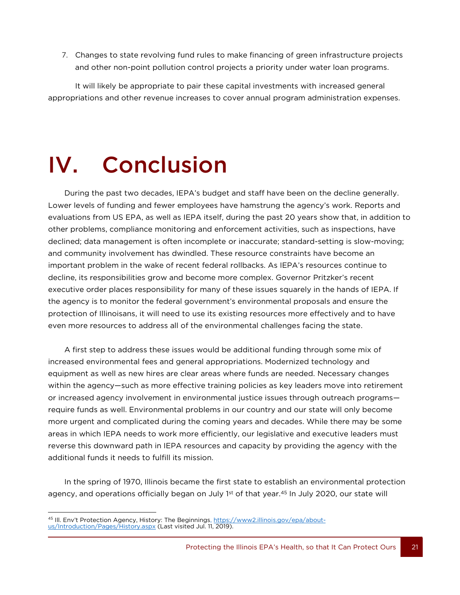7. Changes to state revolving fund rules to make financing of green infrastructure projects and other non-point pollution control projects a priority under water loan programs.

It will likely be appropriate to pair these capital investments with increased general appropriations and other revenue increases to cover annual program administration expenses.

## IV. Conclusion

During the past two decades, IEPA's budget and staff have been on the decline generally. Lower levels of funding and fewer employees have hamstrung the agency's work. Reports and evaluations from US EPA, as well as IEPA itself, during the past 20 years show that, in addition to other problems, compliance monitoring and enforcement activities, such as inspections, have declined; data management is often incomplete or inaccurate; standard-setting is slow-moving; and community involvement has dwindled. These resource constraints have become an important problem in the wake of recent federal rollbacks. As IEPA's resources continue to decline, its responsibilities grow and become more complex. Governor Pritzker's recent executive order places responsibility for many of these issues squarely in the hands of IEPA. If the agency is to monitor the federal government's environmental proposals and ensure the protection of Illinoisans, it will need to use its existing resources more effectively and to have even more resources to address all of the environmental challenges facing the state.

A first step to address these issues would be additional funding through some mix of increased environmental fees and general appropriations. Modernized technology and equipment as well as new hires are clear areas where funds are needed. Necessary changes within the agency—such as more effective training policies as key leaders move into retirement or increased agency involvement in environmental justice issues through outreach programs require funds as well. Environmental problems in our country and our state will only become more urgent and complicated during the coming years and decades. While there may be some areas in which IEPA needs to work more efficiently, our legislative and executive leaders must reverse this downward path in IEPA resources and capacity by providing the agency with the additional funds it needs to fulfill its mission.

In the spring of 1970, Illinois became the first state to establish an environmental protection agency, and operations officially began on July 1st of that year.<sup>45</sup> In July 2020, our state will

<sup>21</sup>  $\overline{a}$ <sup>45</sup> III. Env't Protection Agency, History: The Beginnings, [https://www2.illinois.gov/epa/about](https://www2.illinois.gov/epa/about-us/Introduction/Pages/History.aspx)[us/Introduction/Pages/History.aspx](https://www2.illinois.gov/epa/about-us/Introduction/Pages/History.aspx) (Last visited Jul. 11, 2019).